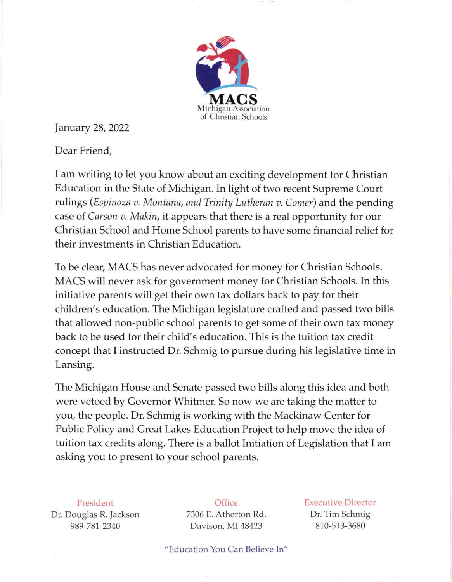

January 28,2022

Dear Friend,

I am writing to let you know about an exciting development for Christian Education in the State of Michigan. In light of two recent Supreme Court rulings (Espinoza v. Montana, and Trinity Lutheran v. Comer) and the pending case of Carson v. Makin, it appears that there is a real opportunity for our Christian School and Home School parents to have some financial relief for their investments in Christian Education.

To be cleat, MACS has never advocated for money for Christian Schools. MACS will never ask for government money for Christian Schools. In this initiative parents will get their own tax dollars back to pay for their children's education. The Michigan legislature crafted and passed two bills that allowed non-public school parents to get some of their own tax money back to be used for their child's education. This is the tuition tax credit concept that I instructed Dr. Schmig to pursue during his legislative time in Lansing.

The Michigan House and Senate passed two bills along this idea and both were vetoed by Governor Whitmer. So now we are taking the matter to you, the people. Dr. Schmig is working with the Mackinaw Center for Public Policy and Great Lakes Education Project to help move the idea of tuition tax credits along. There is a ballot Initiation of Legislation that I am asking you to present to your school parents.

President Dr. Douglas R. Jackson

989-781-2340

**Office** 7306 E. Atherton Rd. Davison, MI 48423

Executive Director Dr. Tim Schmig 810-513-3680

"Education You Can Believe In"